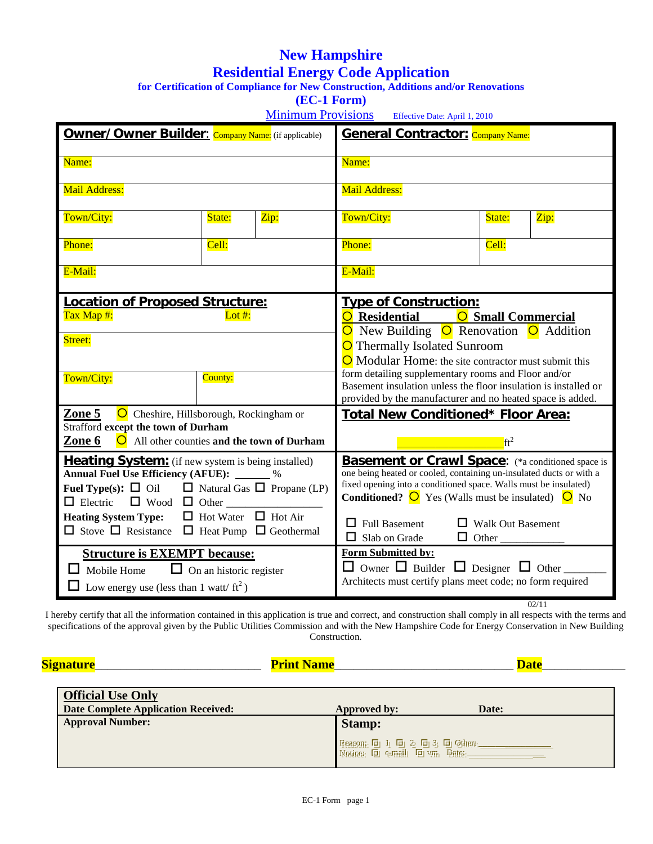# **New Hampshire Residential Energy Code Application**

**for Certification of Compliance for New Construction, Additions and/or Renovations**

**(EC-1 Form)**

Minimum Provisions Effective Date: April 1, 2010

| Name:                                                                                                                               |                                                           |                      | Name:                                                                                                                           |                                                                                      |      |  |
|-------------------------------------------------------------------------------------------------------------------------------------|-----------------------------------------------------------|----------------------|---------------------------------------------------------------------------------------------------------------------------------|--------------------------------------------------------------------------------------|------|--|
|                                                                                                                                     |                                                           |                      |                                                                                                                                 |                                                                                      |      |  |
| Mail Address:                                                                                                                       |                                                           |                      | Mail Address:                                                                                                                   |                                                                                      |      |  |
| Town/City:                                                                                                                          | State:                                                    | Zip:                 | Town/City:                                                                                                                      | State:                                                                               | Zip: |  |
| Phone:                                                                                                                              | Cell:                                                     |                      | Phone:                                                                                                                          | Cell:                                                                                |      |  |
| E-Mail:                                                                                                                             |                                                           |                      | E-Mail:                                                                                                                         |                                                                                      |      |  |
|                                                                                                                                     | Location of Proposed Structure:                           |                      | <b>Type of Construction:</b>                                                                                                    |                                                                                      |      |  |
| Tax Map #:                                                                                                                          | Lot #:                                                    |                      |                                                                                                                                 | O Residential<br><b>O</b> Small Commercial<br>O New Building O Renovation O Addition |      |  |
| Street:                                                                                                                             |                                                           |                      | O Thermally Isolated Sunroom                                                                                                    |                                                                                      |      |  |
|                                                                                                                                     |                                                           |                      | $\overline{\text{O}}$ Modular Home: the site contractor must submit this                                                        |                                                                                      |      |  |
| Town/City:                                                                                                                          | County:                                                   |                      | form detailing supplementary rooms and Floor and/or                                                                             |                                                                                      |      |  |
|                                                                                                                                     |                                                           |                      | Basement insulation unless the floor insulation is installed or<br>provided by the manufacturer and no heated space is added.   |                                                                                      |      |  |
| Zone 5                                                                                                                              | O Cheshire, Hillsborough, Rockingham or                   |                      | <b>Total New Conditioned* Floor Area:</b>                                                                                       |                                                                                      |      |  |
| <b>Strafford except the town of Durham</b><br>$\bigcirc$ All other counties and the town of Durham                                  |                                                           |                      |                                                                                                                                 |                                                                                      |      |  |
| Zone 6                                                                                                                              |                                                           |                      |                                                                                                                                 | $ft^2$                                                                               |      |  |
|                                                                                                                                     | <b>Heating System:</b> (if new system is being installed) |                      | <b>Basement or Crawl Space:</b> (*a conditioned space is<br>one being heated or cooled, containing un-insulated ducts or with a |                                                                                      |      |  |
| Annual Fuel Use Efficiency (AFUE): ______ %<br><b>Fuel Type(s):</b> $\Box$ Oil $\Box$ Natural Gas $\Box$ Propane (LP)               |                                                           |                      | fixed opening into a conditioned space. Walls must be insulated)                                                                |                                                                                      |      |  |
|                                                                                                                                     |                                                           |                      | <b>Conditioned?</b> $\overline{O}$ Yes (Walls must be insulated) $\overline{O}$ No                                              |                                                                                      |      |  |
| $\Box$ Hot Water $\Box$ Hot Air<br><b>Heating System Type:</b><br>$\Box$ Stove $\Box$ Resistance $\Box$ Heat Pump $\Box$ Geothermal |                                                           | $\Box$ Full Basement | $\Box$ Walk Out Basement                                                                                                        |                                                                                      |      |  |
|                                                                                                                                     |                                                           |                      | $\Box$ Slab on Grade                                                                                                            |                                                                                      |      |  |
|                                                                                                                                     | <b>Structure is EXEMPT because:</b>                       |                      | Form Submitted by:                                                                                                              |                                                                                      |      |  |
| $\Box$ Mobile Home $\Box$ On an historic register                                                                                   |                                                           |                      | $\Box$ Owner $\Box$ Builder $\Box$ Designer $\Box$ Other<br>Architects must certify plans meet code; no form required           |                                                                                      |      |  |
| $\Box$ Low energy use (less than 1 watt/ ft <sup>2</sup> )                                                                          |                                                           |                      |                                                                                                                                 |                                                                                      |      |  |

I hereby certify that all the information contained in this application is true and correct, and construction shall comply in all respects with the terms and specifications of the approval given by the Public Utilities Commission and with the New Hampshire Code for Energy Conservation in New Building Construction.

| <b>Signature</b> |  |  |
|------------------|--|--|
|                  |  |  |

 **Signature**\_\_\_\_\_\_\_\_\_\_\_\_\_\_\_\_\_\_\_\_\_\_\_\_\_\_ **Print Name**\_\_\_\_\_\_\_\_\_\_\_\_\_\_\_\_\_\_\_\_\_\_\_\_\_\_\_\_ **Date**\_\_\_\_\_\_\_\_\_\_\_\_\_

| <b>Official Use Only</b><br>Date Complete Application Received: | Approved by:<br><b>Date:</b>                                                    |
|-----------------------------------------------------------------|---------------------------------------------------------------------------------|
| <b>Approval Number:</b>                                         | <b>Stamp:</b>                                                                   |
|                                                                 | Reason: $\Box$ 1 $\Box$ 2 $\Box$ 3 $\Box$ Other:<br>Notice: 回 e-mail 回 vm Pate: |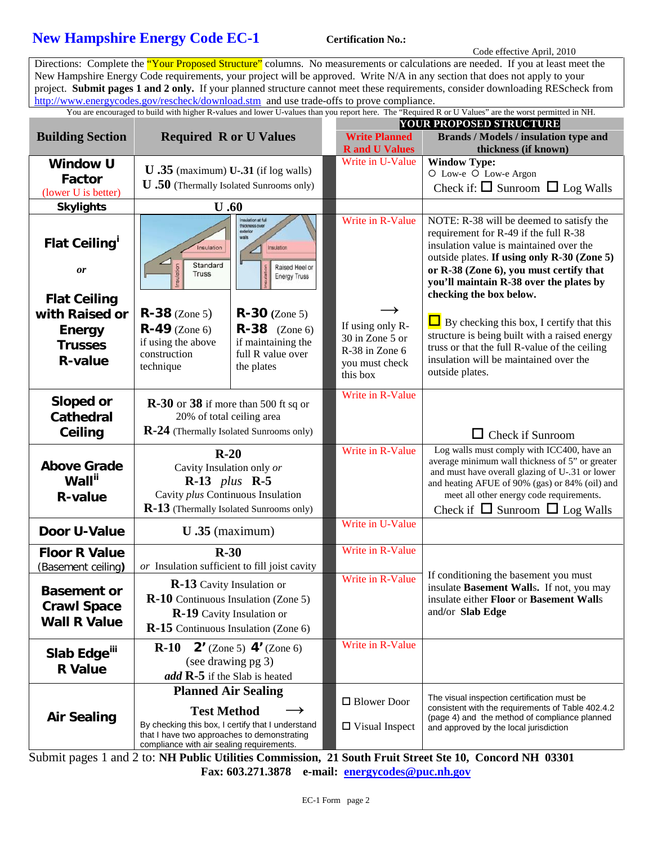### **New Hampshire Energy Code EC-1** Certification No.:

Code effective April, 2010

Directions: Complete the "Your Proposed Structure" columns. No measurements or calculations are needed. If you at least meet the New Hampshire Energy Code requirements, your project will be approved. Write N/A in any section that does not apply to your project. **Submit pages 1 and 2 only.** If your planned structure cannot meet these requirements, consider downloading REScheck from <http://www.energycodes.gov/rescheck/download.stm> and use trade-offs to prove compliance.

You are encouraged to build with higher R-values and lower U-values than you report here. The "Required R or U Values" are the worst permitted in NH.

|                                                                 | <b>Required R or U Values</b>                                                                                                                        |                                                                                                                       | <b>YOUR PROPOSED STRUCTURE</b>                       |                                                                                                                                                                                                                                                                                              |  |
|-----------------------------------------------------------------|------------------------------------------------------------------------------------------------------------------------------------------------------|-----------------------------------------------------------------------------------------------------------------------|------------------------------------------------------|----------------------------------------------------------------------------------------------------------------------------------------------------------------------------------------------------------------------------------------------------------------------------------------------|--|
| <b>Building Section</b>                                         |                                                                                                                                                      |                                                                                                                       | <b>Write Planned</b><br><b>R</b> and <b>U</b> Values | <b>Brands / Models / insulation type and</b><br>thickness (if known)                                                                                                                                                                                                                         |  |
| <b>Window U</b>                                                 |                                                                                                                                                      |                                                                                                                       | Write in U-Value                                     | <b>Window Type:</b>                                                                                                                                                                                                                                                                          |  |
| <b>Factor</b>                                                   | $U$ .35 (maximum) U-.31 (if log walls)<br><b>U</b> .50 (Thermally Isolated Sunrooms only)                                                            |                                                                                                                       |                                                      | O Low-e O Low-e Argon<br>Check if: $\Box$ Sunroom $\Box$ Log Walls                                                                                                                                                                                                                           |  |
| (lower U is better)                                             |                                                                                                                                                      |                                                                                                                       |                                                      |                                                                                                                                                                                                                                                                                              |  |
| <b>Skylights</b>                                                | U.60                                                                                                                                                 |                                                                                                                       |                                                      |                                                                                                                                                                                                                                                                                              |  |
| <b>Flat Ceiling'</b><br><b>or</b><br><b>Flat Ceiling</b>        | Insulation<br>╱<br>Standard<br>lation<br><b>Truss</b>                                                                                                | <b>Ital tis notation</b><br>hickness over<br>exterior<br>valls<br>Insulation<br>Raised Heel or<br><b>Energy Truss</b> | Write in R-Value                                     | NOTE: R-38 will be deemed to satisfy the<br>requirement for R-49 if the full R-38<br>insulation value is maintained over the<br>outside plates. If using only R-30 (Zone 5)<br>or R-38 (Zone 6), you must certify that<br>you'll maintain R-38 over the plates by<br>checking the box below. |  |
| with Raised or                                                  | $R-38$ (Zone 5)                                                                                                                                      | $R-30$ (Zone 5)                                                                                                       | $\rightarrow$                                        |                                                                                                                                                                                                                                                                                              |  |
| <b>Energy</b>                                                   | $R-49$ (Zone 6)                                                                                                                                      | <b>R-38</b> (Zone 6)                                                                                                  | If using only R-                                     | $\Box$ By checking this box, I certify that this                                                                                                                                                                                                                                             |  |
| <b>Trusses</b>                                                  | if using the above                                                                                                                                   | if maintaining the                                                                                                    | 30 in Zone 5 or                                      | structure is being built with a raised energy<br>truss or that the full R-value of the ceiling                                                                                                                                                                                               |  |
| <b>R-value</b>                                                  | construction<br>technique                                                                                                                            | full R value over<br>the plates                                                                                       | R-38 in Zone 6<br>you must check<br>this box         | insulation will be maintained over the<br>outside plates.                                                                                                                                                                                                                                    |  |
| Sloped or                                                       | $\mathbb{R}\text{-}30$ or 38 if more than 500 ft sq or<br>20% of total ceiling area                                                                  |                                                                                                                       | Write in R-Value                                     |                                                                                                                                                                                                                                                                                              |  |
| <b>Cathedral</b>                                                |                                                                                                                                                      |                                                                                                                       |                                                      |                                                                                                                                                                                                                                                                                              |  |
| Ceiling                                                         | R-24 (Thermally Isolated Sunrooms only)                                                                                                              |                                                                                                                       |                                                      | $\Box$ Check if Sunroom                                                                                                                                                                                                                                                                      |  |
|                                                                 |                                                                                                                                                      |                                                                                                                       | Write in R-Value                                     | Log walls must comply with ICC400, have an                                                                                                                                                                                                                                                   |  |
| <b>Above Grade</b><br>Wall <sup>ii</sup><br><b>R-value</b>      | $R-20$<br>Cavity Insulation only or<br>$R-13$ plus $R-5$<br>Cavity plus Continuous Insulation<br><b>R-13</b> (Thermally Isolated Sunrooms only)      |                                                                                                                       |                                                      | average minimum wall thickness of 5" or greater<br>and must have overall glazing of U-.31 or lower<br>and heating AFUE of 90% (gas) or 84% (oil) and<br>meet all other energy code requirements.<br>Check if $\Box$ Sunroom $\Box$ Log Walls                                                 |  |
| Door U-Value                                                    | $U$ .35 (maximum)                                                                                                                                    |                                                                                                                       | Write in U-Value                                     |                                                                                                                                                                                                                                                                                              |  |
| <b>Floor R Value</b>                                            | $R-30$                                                                                                                                               |                                                                                                                       | Write in R-Value                                     |                                                                                                                                                                                                                                                                                              |  |
| (Basement ceiling)                                              | or Insulation sufficient to fill joist cavity                                                                                                        |                                                                                                                       |                                                      |                                                                                                                                                                                                                                                                                              |  |
| <b>Basement or</b><br><b>Crawl Space</b><br><b>Wall R Value</b> | <b>R-13</b> Cavity Insulation or<br>R-10 Continuous Insulation (Zone 5)<br><b>R-19</b> Cavity Insulation or<br>$R-15$ Continuous Insulation (Zone 6) |                                                                                                                       | Write in R-Value                                     | If conditioning the basement you must<br>insulate Basement Walls. If not, you may<br>insulate either Floor or Basement Walls<br>and/or Slab Edge                                                                                                                                             |  |
| Slab Edge <sup>iii</sup><br><b>R</b> Value                      | $R-10$<br>(see drawing pg 3)<br>add R-5 if the Slab is heated                                                                                        | <b>2'</b> (Zone 5) $4'$ (Zone 6)                                                                                      | Write in R-Value                                     |                                                                                                                                                                                                                                                                                              |  |
|                                                                 | <b>Planned Air Sealing</b>                                                                                                                           |                                                                                                                       |                                                      |                                                                                                                                                                                                                                                                                              |  |
| <b>Air Sealing</b>                                              | <b>Test Method</b>                                                                                                                                   |                                                                                                                       | $\Box$ Blower Door                                   | The visual inspection certification must be<br>consistent with the requirements of Table 402.4.2<br>(page 4) and the method of compliance planned                                                                                                                                            |  |
|                                                                 | By checking this box, I certify that I understand<br>that I have two approaches to demonstrating<br>compliance with air sealing requirements.        |                                                                                                                       | $\Box$ Visual Inspect                                | and approved by the local jurisdiction                                                                                                                                                                                                                                                       |  |

Submit pages 1 and 2 to: **NH Public Utilities Commission, 21 South Fruit Street Ste 10, Concord NH 03301 Fax: 603.271.3878 e-mail: energycodes@puc.nh.gov**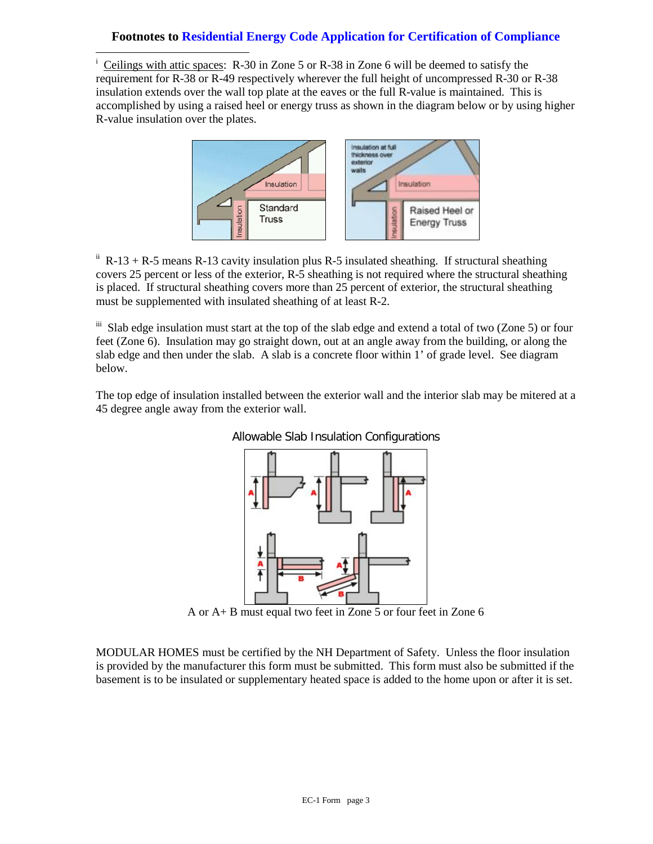#### **Footnotes to Residential Energy Code Application for Certification of Compliance**

<span id="page-2-0"></span> i Ceilings with attic spaces: R-30 in Zone 5 or R-38 in Zone 6 will be deemed to satisfy the requirement for R-38 or R-49 respectively wherever the full height of uncompressed R-30 or R-38 insulation extends over the wall top plate at the eaves or the full R-value is maintained. This is accomplished by using a raised heel or energy truss as shown in the diagram below or by using higher R-value insulation over the plates.



<span id="page-2-1"></span> $i$ <sup>i</sup> R-13 + R-5 means R-13 cavity insulation plus R-5 insulated sheathing. If structural sheathing covers 25 percent or less of the exterior, R-5 sheathing is not required where the structural sheathing is placed. If structural sheathing covers more than 25 percent of exterior, the structural sheathing must be supplemented with insulated sheathing of at least R-2.

<span id="page-2-2"></span>iii Slab edge insulation must start at the top of the slab edge and extend a total of two (Zone 5) or four feet (Zone 6). Insulation may go straight down, out at an angle away from the building, or along the slab edge and then under the slab. A slab is a concrete floor within 1' of grade level. See diagram below.

The top edge of insulation installed between the exterior wall and the interior slab may be mitered at a 45 degree angle away from the exterior wall.





A or A+ B must equal two feet in Zone 5 or four feet in Zone 6

MODULAR HOMES must be certified by the NH Department of Safety. Unless the floor insulation is provided by the manufacturer this form must be submitted. This form must also be submitted if the basement is to be insulated or supplementary heated space is added to the home upon or after it is set.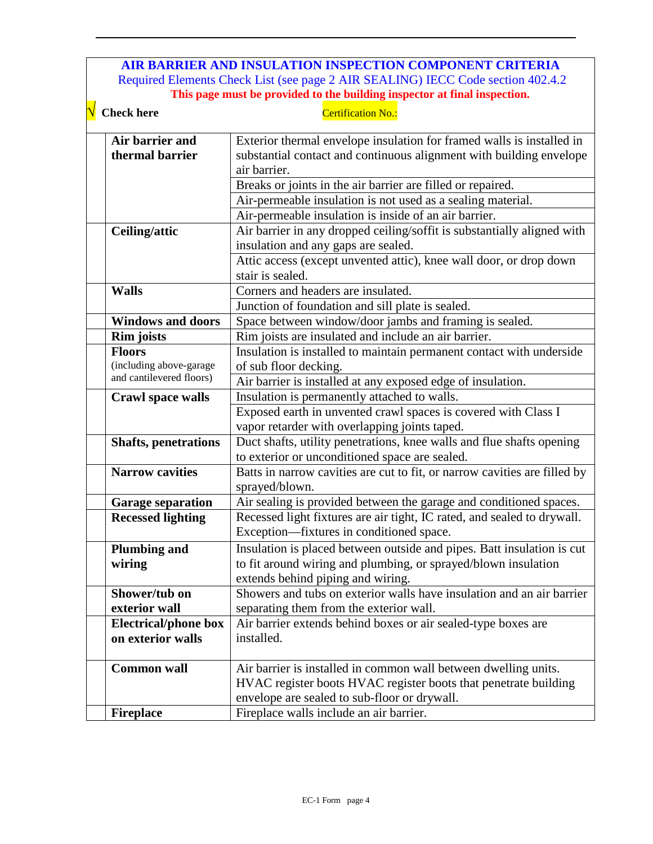#### **AIR BARRIER AND INSULATION INSPECTION COMPONENT CRITERIA** Required Elements Check List (see page 2 AIR SEALING) IECC Code section 402.4.2 **This page must be provided to the building inspector at final inspection.**

 $\overline{a}$ 

| $\sqrt{\phantom{a}}$ Check here    | Certification No.:                                                                                                                                           |
|------------------------------------|--------------------------------------------------------------------------------------------------------------------------------------------------------------|
| Air barrier and<br>thermal barrier | Exterior thermal envelope insulation for framed walls is installed in<br>substantial contact and continuous alignment with building envelope<br>air barrier. |
|                                    | Breaks or joints in the air barrier are filled or repaired.                                                                                                  |
|                                    | Air-permeable insulation is not used as a sealing material.                                                                                                  |
|                                    | Air-permeable insulation is inside of an air barrier.                                                                                                        |
| Ceiling/attic                      | Air barrier in any dropped ceiling/soffit is substantially aligned with                                                                                      |
|                                    | insulation and any gaps are sealed.                                                                                                                          |
|                                    | Attic access (except unvented attic), knee wall door, or drop down<br>stair is sealed.                                                                       |
| <b>Walls</b>                       | Corners and headers are insulated.                                                                                                                           |
|                                    | Junction of foundation and sill plate is sealed.                                                                                                             |
| <b>Windows and doors</b>           | Space between window/door jambs and framing is sealed.                                                                                                       |
| <b>Rim</b> joists                  | Rim joists are insulated and include an air barrier.                                                                                                         |
| <b>Floors</b>                      | Insulation is installed to maintain permanent contact with underside                                                                                         |
| (including above-garage            | of sub floor decking.                                                                                                                                        |
| and cantilevered floors)           | Air barrier is installed at any exposed edge of insulation.                                                                                                  |
| Crawl space walls                  | Insulation is permanently attached to walls.                                                                                                                 |
|                                    | Exposed earth in unvented crawl spaces is covered with Class I                                                                                               |
|                                    | vapor retarder with overlapping joints taped.                                                                                                                |
| <b>Shafts, penetrations</b>        | Duct shafts, utility penetrations, knee walls and flue shafts opening                                                                                        |
|                                    | to exterior or unconditioned space are sealed.                                                                                                               |
| <b>Narrow cavities</b>             | Batts in narrow cavities are cut to fit, or narrow cavities are filled by<br>sprayed/blown.                                                                  |
| <b>Garage separation</b>           | Air sealing is provided between the garage and conditioned spaces.                                                                                           |
| <b>Recessed lighting</b>           | Recessed light fixtures are air tight, IC rated, and sealed to drywall.<br>Exception—fixtures in conditioned space.                                          |
| <b>Plumbing and</b>                | Insulation is placed between outside and pipes. Batt insulation is cut                                                                                       |
| wiring                             | to fit around wiring and plumbing, or sprayed/blown insulation                                                                                               |
|                                    | extends behind piping and wiring.                                                                                                                            |
| Shower/tub on                      | Showers and tubs on exterior walls have insulation and an air barrier                                                                                        |
| exterior wall                      | separating them from the exterior wall.                                                                                                                      |
| <b>Electrical/phone box</b>        | Air barrier extends behind boxes or air sealed-type boxes are                                                                                                |
| on exterior walls                  | installed.                                                                                                                                                   |
| <b>Common wall</b>                 | Air barrier is installed in common wall between dwelling units.                                                                                              |
|                                    | HVAC register boots HVAC register boots that penetrate building                                                                                              |
|                                    | envelope are sealed to sub-floor or drywall.                                                                                                                 |
| <b>Fireplace</b>                   | Fireplace walls include an air barrier.                                                                                                                      |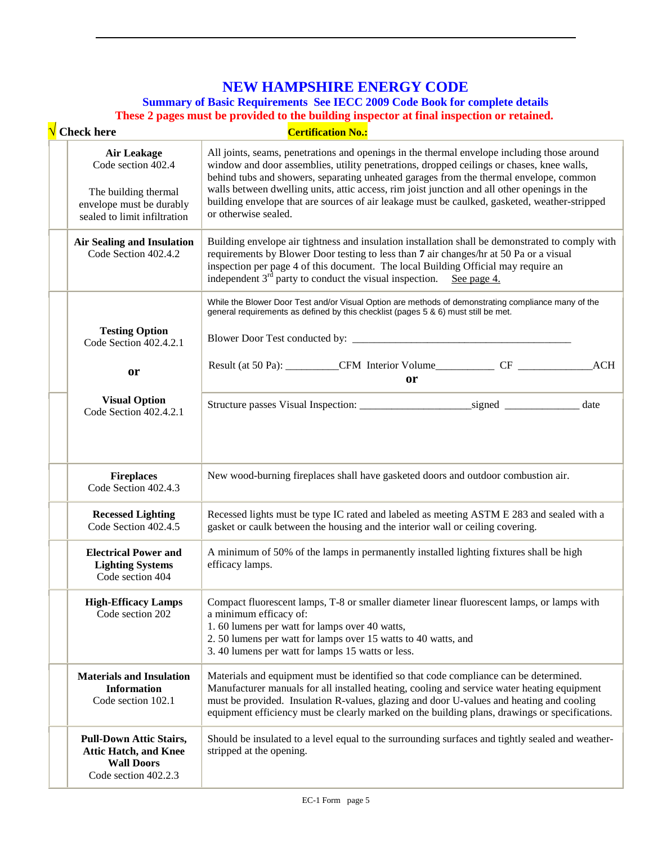## **NEW HAMPSHIRE ENERGY CODE**

**Summary of Basic Requirements See IECC 2009 Code Book for complete details**

 $\overline{a}$ 

**These 2 pages must be provided to the building inspector at final inspection or retained.**

| <b>Check here</b>                                                                                                            | <b>Certification No.:</b>                                                                                                                                                                                                                                                                                                                                                                                                                                                                                   |  |  |  |
|------------------------------------------------------------------------------------------------------------------------------|-------------------------------------------------------------------------------------------------------------------------------------------------------------------------------------------------------------------------------------------------------------------------------------------------------------------------------------------------------------------------------------------------------------------------------------------------------------------------------------------------------------|--|--|--|
| <b>Air Leakage</b><br>Code section 402.4<br>The building thermal<br>envelope must be durably<br>sealed to limit infiltration | All joints, seams, penetrations and openings in the thermal envelope including those around<br>window and door assemblies, utility penetrations, dropped ceilings or chases, knee walls,<br>behind tubs and showers, separating unheated garages from the thermal envelope, common<br>walls between dwelling units, attic access, rim joist junction and all other openings in the<br>building envelope that are sources of air leakage must be caulked, gasketed, weather-stripped<br>or otherwise sealed. |  |  |  |
| <b>Air Sealing and Insulation</b><br>Code Section 402.4.2                                                                    | Building envelope air tightness and insulation installation shall be demonstrated to comply with<br>requirements by Blower Door testing to less than 7 air changes/hr at 50 Pa or a visual<br>inspection per page 4 of this document. The local Building Official may require an<br>independent $3^{rd}$ party to conduct the visual inspection. See page 4.                                                                                                                                                |  |  |  |
| <b>Testing Option</b><br>Code Section 402.4.2.1                                                                              | While the Blower Door Test and/or Visual Option are methods of demonstrating compliance many of the<br>general requirements as defined by this checklist (pages 5 & 6) must still be met.                                                                                                                                                                                                                                                                                                                   |  |  |  |
| or                                                                                                                           | Result (at 50 Pa): ___________CFM Interior Volume_____________CF ________________<br>ACH                                                                                                                                                                                                                                                                                                                                                                                                                    |  |  |  |
|                                                                                                                              | <b>or</b>                                                                                                                                                                                                                                                                                                                                                                                                                                                                                                   |  |  |  |
| <b>Visual Option</b><br>Code Section 402.4.2.1                                                                               |                                                                                                                                                                                                                                                                                                                                                                                                                                                                                                             |  |  |  |
| <b>Fireplaces</b><br>Code Section 402.4.3                                                                                    | New wood-burning fireplaces shall have gasketed doors and outdoor combustion air.                                                                                                                                                                                                                                                                                                                                                                                                                           |  |  |  |
| <b>Recessed Lighting</b><br>Code Section 402.4.5                                                                             | Recessed lights must be type IC rated and labeled as meeting ASTM E 283 and sealed with a<br>gasket or caulk between the housing and the interior wall or ceiling covering.                                                                                                                                                                                                                                                                                                                                 |  |  |  |
| <b>Electrical Power and</b><br><b>Lighting Systems</b><br>Code section 404                                                   | A minimum of 50% of the lamps in permanently installed lighting fixtures shall be high<br>efficacy lamps.                                                                                                                                                                                                                                                                                                                                                                                                   |  |  |  |
| <b>High-Efficacy Lamps</b><br>Code section 202                                                                               | Compact fluorescent lamps, T-8 or smaller diameter linear fluorescent lamps, or lamps with<br>a minimum efficacy of:<br>1.60 lumens per watt for lamps over 40 watts,<br>2.50 lumens per watt for lamps over 15 watts to 40 watts, and<br>3.40 lumens per watt for lamps 15 watts or less.                                                                                                                                                                                                                  |  |  |  |
| <b>Materials and Insulation</b><br><b>Information</b><br>Code section 102.1                                                  | Materials and equipment must be identified so that code compliance can be determined.<br>Manufacturer manuals for all installed heating, cooling and service water heating equipment<br>must be provided. Insulation R-values, glazing and door U-values and heating and cooling<br>equipment efficiency must be clearly marked on the building plans, drawings or specifications.                                                                                                                          |  |  |  |
| <b>Pull-Down Attic Stairs,</b><br><b>Attic Hatch, and Knee</b><br><b>Wall Doors</b><br>Code section 402.2.3                  | Should be insulated to a level equal to the surrounding surfaces and tightly sealed and weather-<br>stripped at the opening.                                                                                                                                                                                                                                                                                                                                                                                |  |  |  |